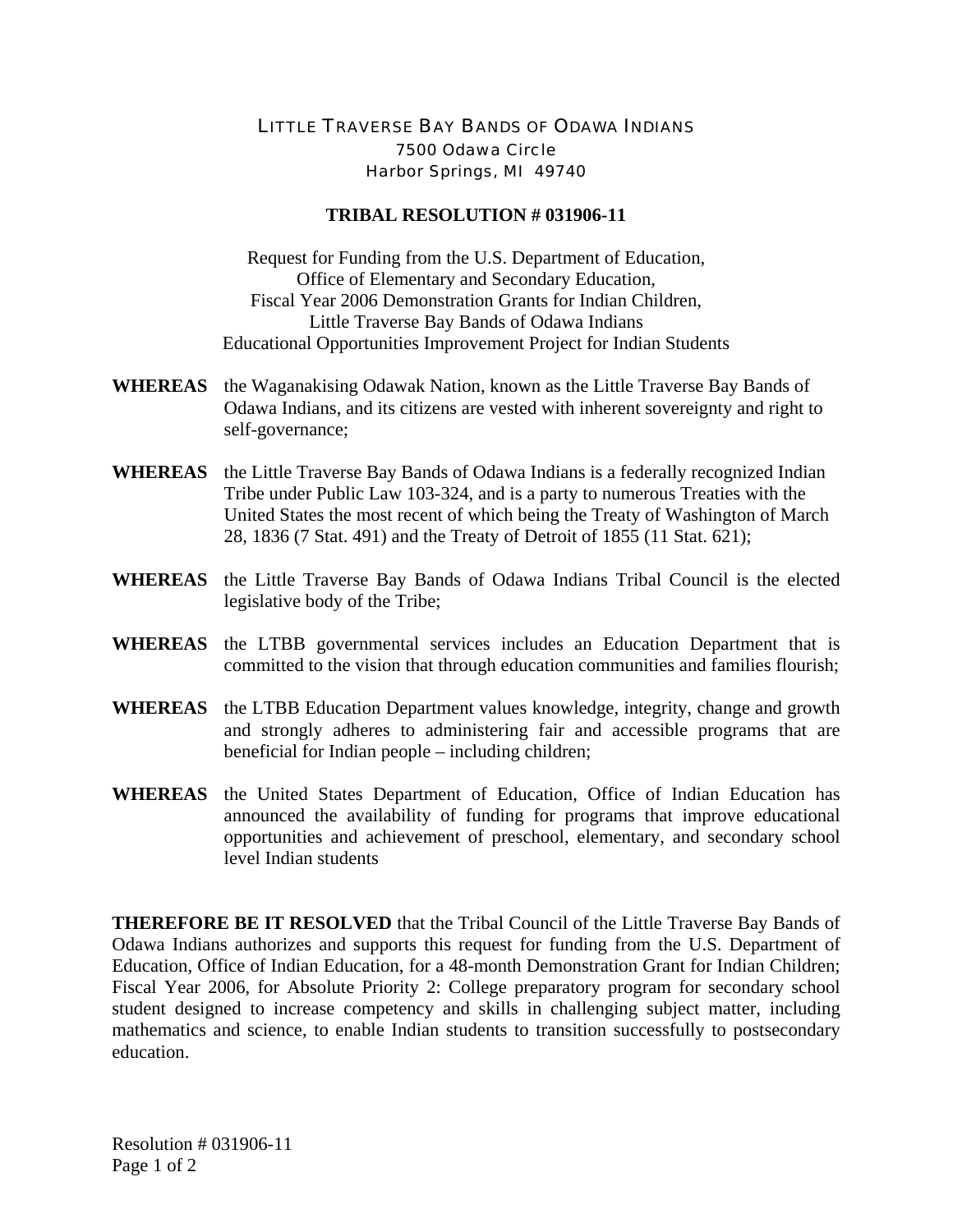## LITTLE TRAVERSE BAY BANDS OF ODAWA INDIANS 7500 Odawa Circle Harbor Springs, MI 49740

## **TRIBAL RESOLUTION # 031906-11**

Request for Funding from the U.S. Department of Education, Office of Elementary and Secondary Education, Fiscal Year 2006 Demonstration Grants for Indian Children, Little Traverse Bay Bands of Odawa Indians Educational Opportunities Improvement Project for Indian Students

- **WHEREAS** the Waganakising Odawak Nation, known as the Little Traverse Bay Bands of Odawa Indians, and its citizens are vested with inherent sovereignty and right to self-governance;
- **WHEREAS** the Little Traverse Bay Bands of Odawa Indians is a federally recognized Indian Tribe under Public Law 103-324, and is a party to numerous Treaties with the United States the most recent of which being the Treaty of Washington of March 28, 1836 (7 Stat. 491) and the Treaty of Detroit of 1855 (11 Stat. 621);
- **WHEREAS** the Little Traverse Bay Bands of Odawa Indians Tribal Council is the elected legislative body of the Tribe;
- **WHEREAS** the LTBB governmental services includes an Education Department that is committed to the vision that through education communities and families flourish;
- **WHEREAS** the LTBB Education Department values knowledge, integrity, change and growth and strongly adheres to administering fair and accessible programs that are beneficial for Indian people – including children;
- **WHEREAS** the United States Department of Education, Office of Indian Education has announced the availability of funding for programs that improve educational opportunities and achievement of preschool, elementary, and secondary school level Indian students

**THEREFORE BE IT RESOLVED** that the Tribal Council of the Little Traverse Bay Bands of Odawa Indians authorizes and supports this request for funding from the U.S. Department of Education, Office of Indian Education, for a 48-month Demonstration Grant for Indian Children; Fiscal Year 2006, for Absolute Priority 2: College preparatory program for secondary school student designed to increase competency and skills in challenging subject matter, including mathematics and science, to enable Indian students to transition successfully to postsecondary education.